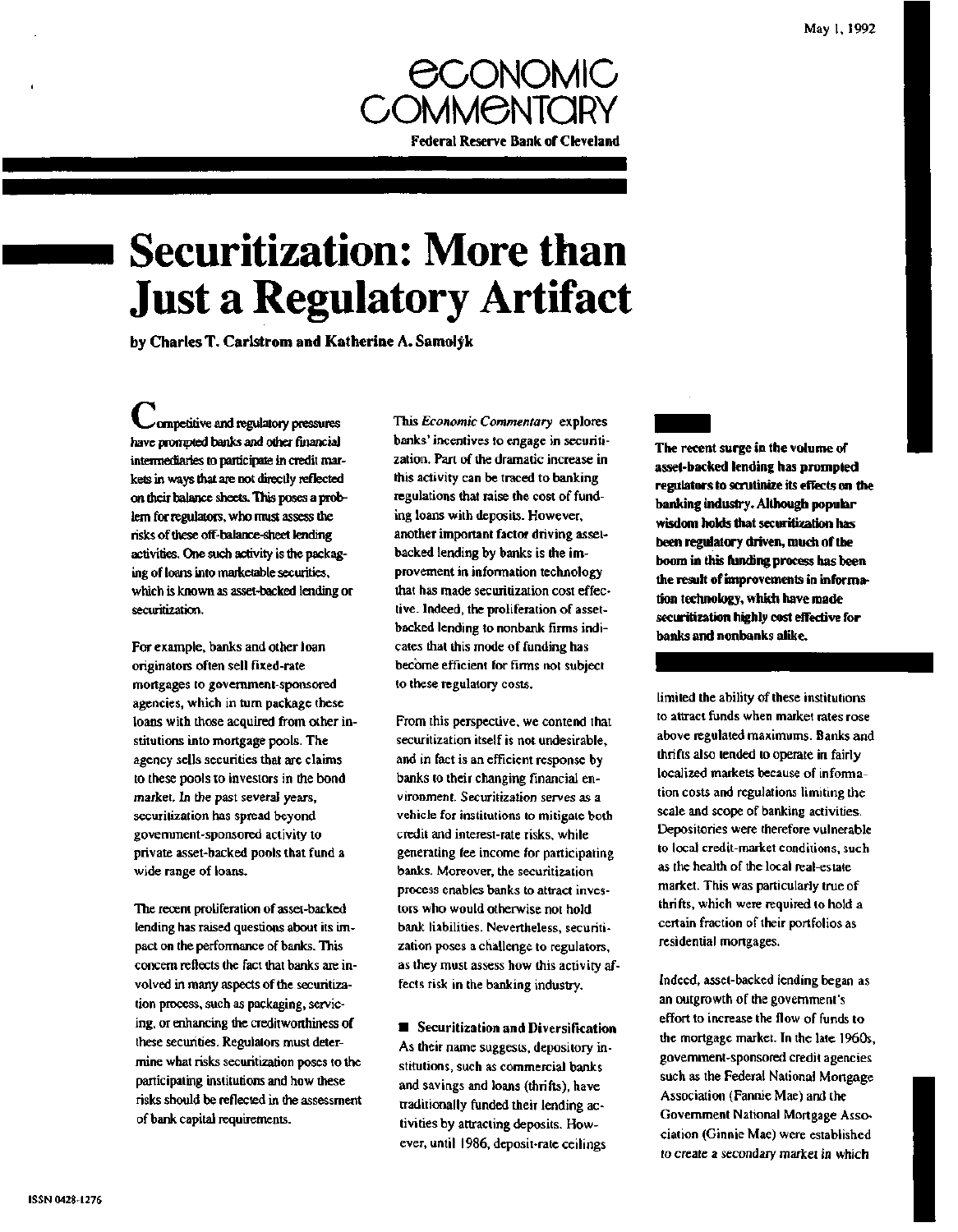

# **Securitization: More than Just a Regulatory Artifact**

**by Charles T. Carlstrom and Katherine A. Samolyk**

^competitive and regulatory pressures have prompted banks and other financial intermediaries to participate in credit markets in ways that are not directly reflected on their balance sheets. This poses a problem for regulators, who must assess the risks of these off-balance-sheet lending activities. One such activity is the packaging of loans into marketable securities, which is known as asset-backed lending or securitization.

For example, banks and other loan originators often sell fixed-rate mortgages to government-sponsored agencies, which in turn package these loans with those acquired from other institutions into mortgage pools. The agency sells securities that are claims to these pools to investors in the bond market. In the past several years, securitization has spread beyond government-sponsored activity to private asset-backed pools that fund a wide range of loans.

The recent proliferation of asset-backed lending has raised questions about its impact on the performance of banks. This concern reflects the fact that banks are involved in many aspects of the securitization process, such as packaging, servicing, or enhancing the creditworthiness of these securities. Regulators must determine what risks securitization poses to the participating institutions and how these risks should be reflected in the assessment of bank capital requirements.

This *Economic Commentary* explores banks' incentives to engage in securitization. Part of the dramatic increase in this activity can be traced to banking regulations that raise the cost of funding loans with deposits. However, another important factor driving assetbacked lending by banks is the improvement in information technology that has made securitization cost effective. Indeed, the proliferation of assetbacked lending to nonbank firms indicates that this mode of funding has become efficient for firms not subject to these regulatory costs.

From this perspective, we contend that securitization itself is not undesirable, and in fact is an efficient response by banks to their changing financial environment. Securitization serves as a vehicle for institutions to mitigate both credit and interest-rate risks, while generating fee income for participating banks. Moreover, the securitization process enables banks to attract investors who would otherwise not hold bank liabilities. Nevertheless, securitization poses a challenge to regulators, as they must assess how this activity affects risk in the banking industry.

• Securitization **and** Diversification As their name suggests, depository institutions, such as commercial banks and savings and loans (thrifts), have traditionally funded their lending activities by attracting deposits. However, until 1986, deposit-rate ceilings

**The recent surge in the volume of asset-backed lending has prompted regulators to scrutinize its effects on the banking industry. Although popular wisdom holds that securitization has been regulatory driven, much of the boom in this funding process has been the result of improvements in information technology, which have made securitization highly cost effective for banks and nonbanks alike.**

limited the ability of these institutions to attract funds when market rates rose above regulated maximums. Banks and thrifts also tended to operate in fairly localized markets because of information costs and regulations limiting the scale and scope of banking activities. Depositories were therefore vulnerable to local credit-market conditions, such as the health of the local real-estate market. This was particularly true of thrifts, which were required to hold a certain fraction of their portfolios as residential mortgages.

Indeed, asset-backed lending began as an outgrowth of the government's effort to increase the flow of funds to the mortgage market. In the late 1960s, government-sponsored credit agencies such as the Federal National Mortgage Association (Fannie Mae) and the Government National Mortgage Association (Ginnie Mae) were established to create a secondary market in which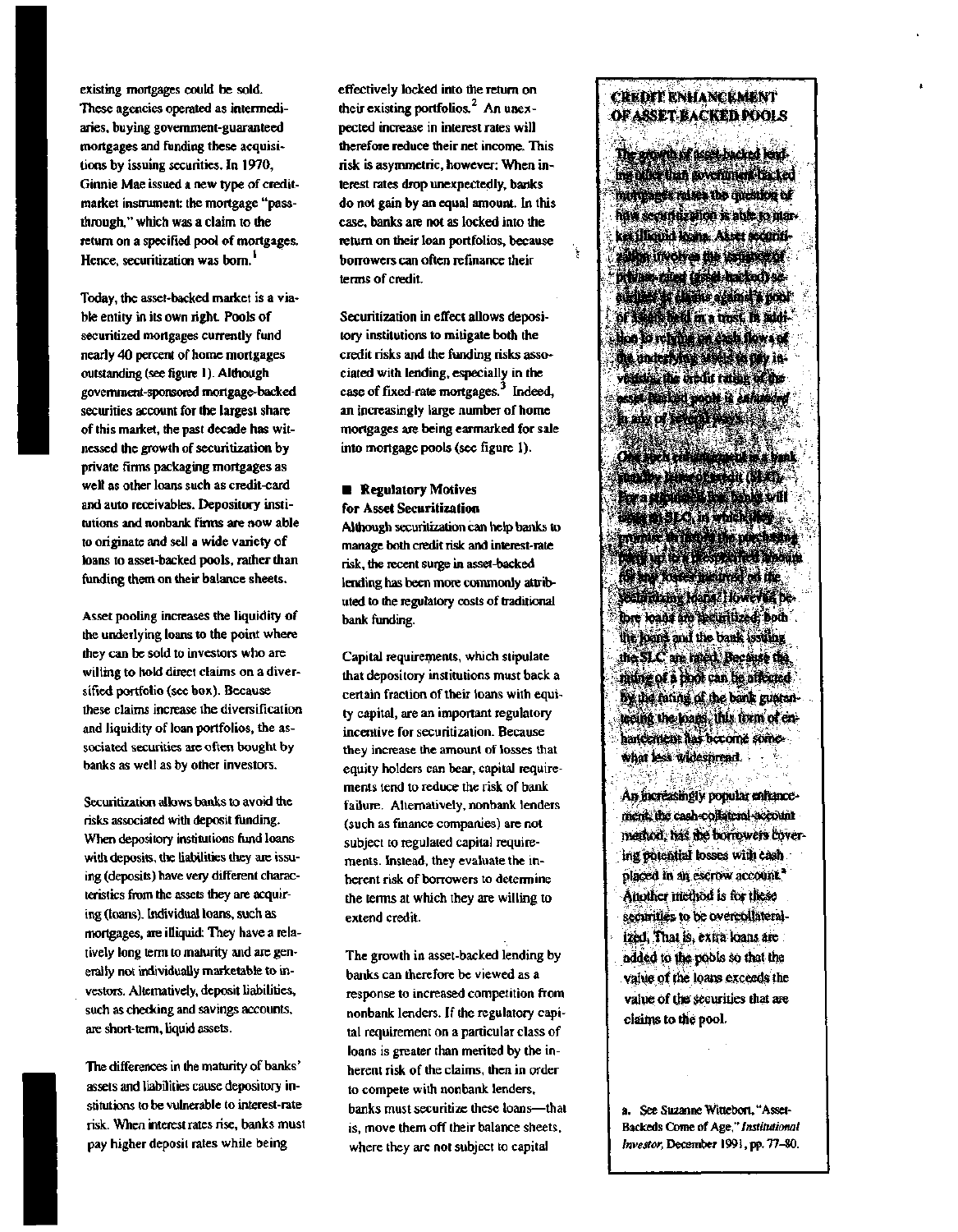existing mortgages could be sold. These agencies operated as intermediaries, buying government-guaranteed mortgages and funding these acquisitions by issuing securities. In 1970, Ginnie Mae issued a new type of creditmarket instrument: the mortgage "passthrough," which was a claim to the return on a specified pool of mortgages. Hence, securitization was born.<sup>1</sup>

Today, the asset-backed market is a viable entity in its own right. Pools of securitized mortgages currently fund nearly 40 percent of home mortgages outstanding (see figure 1). Although government-sponsored mortgage-backed securities account for the largest share of this market, the past decade has witnessed the growth of securitization by private firms packaging mortgages as well as other loans such as credit-card and auto receivables. Depository institutions and nonbank firms are now able to originate and sell a wide variety of loans to asset-backed pools, rather than funding them on their balance sheets.

Asset pooling increases the liquidity of the underlying loans to the point where they can be sold to investors who are willing to hold direct claims on a diversified portfolio (see box). Because these claims increase the diversification and liquidity of loan portfolios, the associated securities are often bought by banks as well as by other investors.

Securitization allows banks to avoid the risks associated with deposit funding. When depository institutions fund loans with deposits, the liabilities they are issuing (deposits) have very different characteristics from the assets they are acquiring (loans). Individual loans, such as mortgages, are illiquid: They have a relatively long term to maturity and are generally not individually marketable to investors. Alternatively, deposit liabilities, such as checking and savings accounts, are short-term, liquid assets.

The differences in the maturity of banks' assets and liabilities cause depository institutions to be vulnerable to interest-rate risk. When interest rates rise, banks must pay higher deposit rates while being

effectively locked into the return on their existing portfolios.<sup>2</sup> An unexpected increase in interest rates will therefore reduce their net income. This risk is asymmetric, however: When interest rates drop unexpectedly, banks do not gain by an equal amount. In this case, banks are not as locked into the return on their loan portfolios, because borrowers can often refinance their terms of credit.

Securitization in effect allows depository institutions to mitigate both the credit risks and the funding risks associated with lending, especially in the case of fixed-rate mortgages.<sup>3</sup> Indeed, an increasingly large number of home mortgages are being earmarked for sale into mortgage pools (see figure 1).

### **• Regulatory Motives for Asset Securitization**

**Although** securitization can help banks to manage both credit risk and interest-rate risk, the recent surge in asset-backed lending has been more commonly attributed to the regulatory costs of traditional bank funding.

Capital requirements, which stipulate that depository institutions must back a certain fraction of their loans with equity capital, are an important regulatory incentive for securitization. Because they increase the amount of losses that equity holders can bear, capital requirements tend to reduce the risk of bank failure. Alternatively, nonbank lenders (such as finance companies) are not subject to regulated capital requirements. Instead, they evaluate the inherent risk of borrowers to determine the terms at which they are willing to extend credit.

The growth in asset-backed lending by banks can therefore be viewed as a response to increased competition from nonbank lenders. If the regulatory capital requirement on a particular class of loans is greater than merited by the inherent risk of the claims, then in order to compete with nonbank lenders, banks must securitize these loans—that is, move them off their balance sheets, where they are not subject to capital

## CREDIT ENHANCEMENT OF ASSET-BACKED POOLS

The growth of asset-backed lend\* ing other man government-hacked mortgages raises the question of how securitization is able to market **Illiquid** loans. Asset securitization involves the issuance of private-rated (asset-backed) se-Guntfes as, c&ims against a poof of assets held in a bust, fo addi head of religion and flow of the; underlying assets to pay invession the orbit rating of the asset-backed pools is *enhanced* haw of **ways** ways.

.<br>Y

Ota such enhancement i»a bank standby feue\* of sifcjit (SLO. **isstte art S J.C. in which they** menic in months predentiparty up to a pespecired amount fij» any *tosses* incurred on the secbritizing loans.'However, before loans are securitized; both the foams and the bank issuing the  $SLC$  are rated. Because that rating of a pool can be affected by the rating of the bank guaranl&eiflg the loajas, this form of enhancement: has become somewhat less widespread.

An increasingly popular enhancement, the cash-collateral-account method, has die borrowers covering potential tosses with cash placed in an escrow account.<sup>4</sup> Another method is for these securities to be overcollateralized, That is, extra loans are added to the pobls so that the value of the loans exceeds the value of the securities that are claims to the pool.

a. See Suzanne Wittebort, "Asset-Backeds Come of Age," *Institutional Investor,* December 1991, pp. 77-80.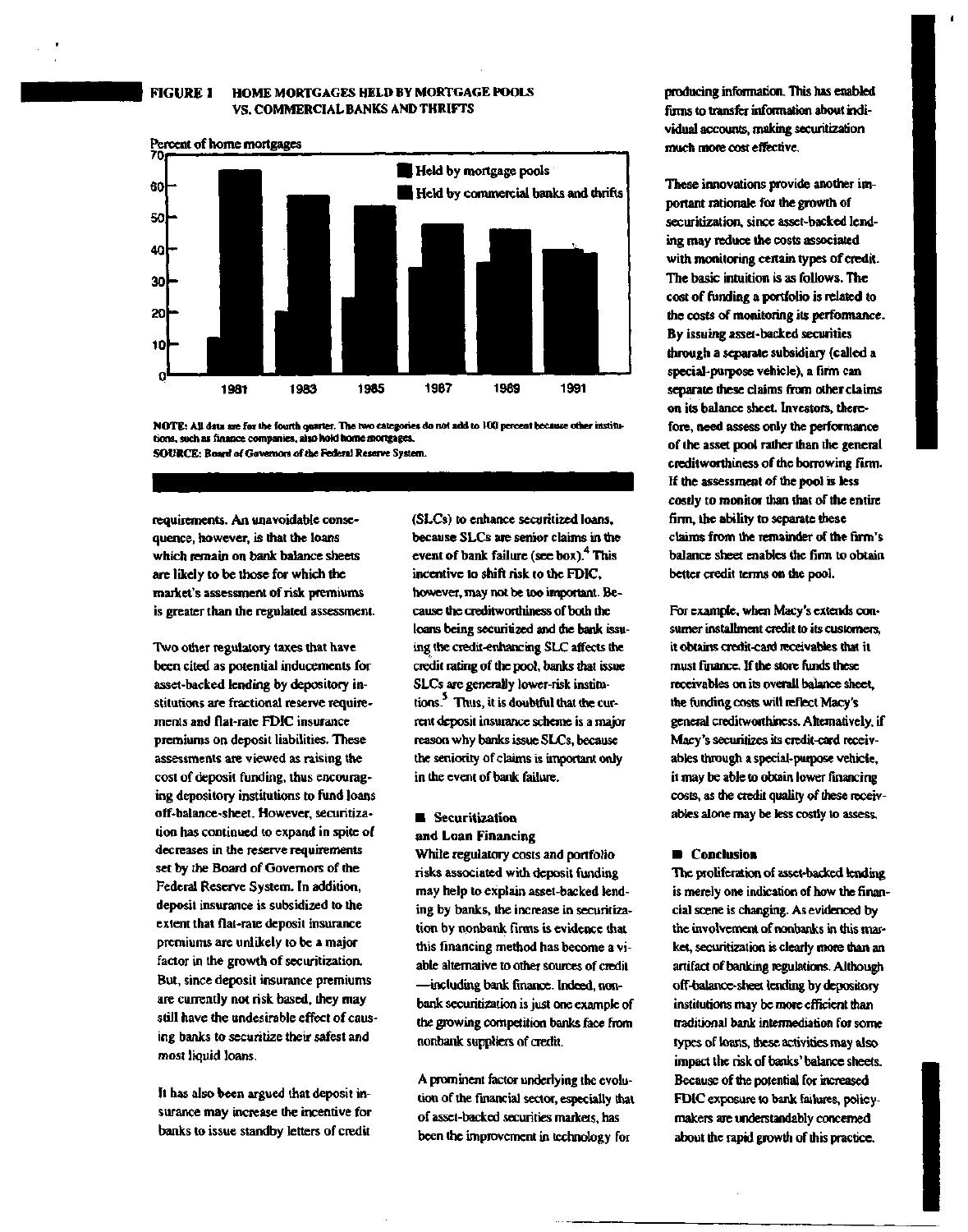## **FIGURE 1 HOME MORTGAGES HELD BY MORTGAGE POOLS VS. COMMERCIAL BANKS AND THRIFTS**



**NOTE: All data are for the fourth quarter. The two categories do not add to 100 percent because other institutions, such as finance companies, also hold home mortgages. SOURCE: Board of Governors of the Federal Reserve System.**

**requirements. An unavoidable consequence, however, is that the loans which remain on bank balance sheets are likely to be those for which the market's assessment of risk premiums is greater than the regulated assessment.**

**Two other regulatory taxes that have been cited as potential inducements for asset-backed lending by depository institutions are fractional reserve requirements and flat-rate FDIC insurance premiums on deposit liabilities. These assessments are viewed as raising the cost of deposit funding, thus encouraging depository institutions to fund loans off-balance-sheet. However, securitization has continued to expand in spite of decreases in the reserve requirements set by the Board of Governors of the Federal Reserve System. In addition, deposit insurance is subsidized to the extent that flat-rate deposit insurance premiums are unlikely to be a major factor in the growth of securitization. But, since deposit insurance premiums are currently not risk based, they may still have the undesirable effect of causing banks to securitize their safest and most liquid loans.**

**It has also been argued that deposit insurance may increase the incentive for banks to issue standby letters of credit**

**(SLCs) to enhance securitized loans, because SLCs are senior claims in the event of bank failure (see box).<sup>4</sup> This incentive to shift risk to the FDIC, however, may not be too important. Because the creditworthiness of both die loans being securitized and the bank issuing the credit-enhancing SLC affects the credit rating of the pool, banks that issue SLCs are generally lower-risk institutions. Thus, it is doubtful that the current deposit insurance scheme is a major reason why banks issue SLCs, because the seniority of claims is important only in the event of bank failure.**

#### **• Securitization and Loan Financing**

**While regulatory costs and portfolio risks associated with deposit funding may help to explain asset-backed lending by banks, the increase in securitization by nonbank. firms is evidence that this financing method has become a viable alternative to other sources of credit —including bank finance. Indeed, nonbank securitization is just one example of the growing competition banks face from nonbank suppliers of credit.**

**A prominent factor underlying the evolution of the financial sector, especially that of asset-backed securities markets, has been the improvement in technology for**

**producing information. This has enabled firms to transfer information about individual accounts, making securitization much more cost effective.**

**These innovations provide another important rationale for the growth of securitization, since asset-backed lending may reduce the costs associated with monitoring certain types of credit. The basic intuition is as follows. The cost of funding a portfolio is related to the costs of monitoring its performance. By issuing asset-backed securities through a separate subsidiary (called a special-purpose vehicle), a firm can separate these claims from other claims on its balance sheet. Investors, therefore, need assess only the performance of the asset pool rather than the general creditworthiness of the borrowing firm. If the assessment of the pool is less costly to monitor than that of the entire firm, the ability to separate these claims from the remainder of the firm's balance sheet enables the firm to obtain better credit terms on the pool.**

**For example, when Macy's extends consumer installment credit to its customers, it obtains credit-card receivables that it must finance. If the store funds these receivables on its overall balance sheet, the funding costs will reflect Macy's general creditworthiness. Alternatively, if Macy's securitizes its credit-card receivables through a special-purpose vehicle, it may be able to obtain lower financing costs, as the credit quality of these receivables alone may be less costly to assess.**

#### **• Conclusion**

**The proliferation of asset-backed lending is merely one indication of how the financial scene is changing. As evidenced by the involvement of nonbanks in this market, securitization is clearly more than an artifact of banking regulations. Although off-balance-sheet lending by depository institutions may be more efficient than traditional bank intermediation for some types of loans, these activities may also impact the risk of banks' balance sheets. Because of the potential for increased FDIC exposure to bank failures, policymakers are understandably concerned about the rapid growth of this practice.**